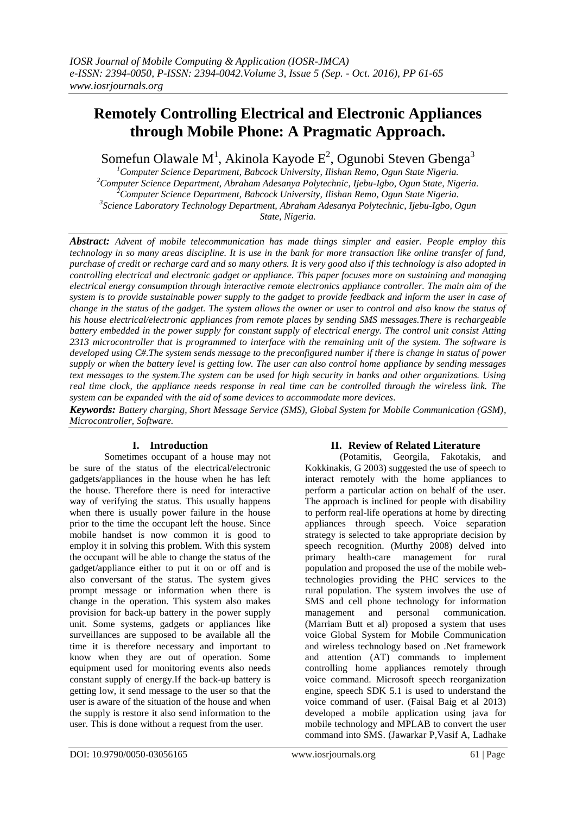# **Remotely Controlling Electrical and Electronic Appliances through Mobile Phone: A Pragmatic Approach.**

Somefun Olawale M<sup>1</sup>, Akinola Kayode E<sup>2</sup>, Ogunobi Steven Gbenga<sup>3</sup>

*Computer Science Department, Babcock University, Ilishan Remo, Ogun State Nigeria. Computer Science Department, Abraham Adesanya Polytechnic, Ijebu-Igbo, Ogun State, Nigeria. Computer Science Department, Babcock University, Ilishan Remo, Ogun State Nigeria. Science Laboratory Technology Department, Abraham Adesanya Polytechnic, Ijebu-Igbo, Ogun State, Nigeria.*

*Abstract: Advent of mobile telecommunication has made things simpler and easier. People employ this technology in so many areas discipline. It is use in the bank for more transaction like online transfer of fund, purchase of credit or recharge card and so many others. It is very good also if this technology is also adopted in controlling electrical and electronic gadget or appliance. This paper focuses more on sustaining and managing electrical energy consumption through interactive remote electronics appliance controller. The main aim of the system is to provide sustainable power supply to the gadget to provide feedback and inform the user in case of change in the status of the gadget. The system allows the owner or user to control and also know the status of his house electrical/electronic appliances from remote places by sending SMS messages.There is rechargeable battery embedded in the power supply for constant supply of electrical energy. The control unit consist Atting 2313 microcontroller that is programmed to interface with the remaining unit of the system. The software is developed using C#.The system sends message to the preconfigured number if there is change in status of power supply or when the battery level is getting low. The user can also control home appliance by sending messages text messages to the system.The system can be used for high security in banks and other organizations. Using real time clock, the appliance needs response in real time can be controlled through the wireless link. The system can be expanded with the aid of some devices to accommodate more devices.*

*Keywords: Battery charging, Short Message Service (SMS), Global System for Mobile Communication (GSM), Microcontroller, Software.* 

# **I. Introduction**

Sometimes occupant of a house may not be sure of the status of the electrical/electronic gadgets/appliances in the house when he has left the house. Therefore there is need for interactive way of verifying the status. This usually happens when there is usually power failure in the house prior to the time the occupant left the house. Since mobile handset is now common it is good to employ it in solving this problem. With this system the occupant will be able to change the status of the gadget/appliance either to put it on or off and is also conversant of the status. The system gives prompt message or information when there is change in the operation. This system also makes provision for back-up battery in the power supply unit. Some systems, gadgets or appliances like surveillances are supposed to be available all the time it is therefore necessary and important to know when they are out of operation. Some equipment used for monitoring events also needs constant supply of energy.If the back-up battery is getting low, it send message to the user so that the user is aware of the situation of the house and when the supply is restore it also send information to the user. This is done without a request from the user.

# **II. Review of Related Literature**

(Potamitis, Georgila, Fakotakis, and Kokkinakis, G 2003) suggested the use of speech to interact remotely with the home appliances to perform a particular action on behalf of the user. The approach is inclined for people with disability to perform real-life operations at home by directing appliances through speech. Voice separation strategy is selected to take appropriate decision by speech recognition. (Murthy 2008) delved into primary health-care management for rural population and proposed the use of the mobile webtechnologies providing the PHC services to the rural population. The system involves the use of SMS and cell phone technology for information management and personal communication. (Marriam Butt et al) proposed a system that uses voice Global System for Mobile Communication and wireless technology based on .Net framework and attention (AT) commands to implement controlling home appliances remotely through voice command. Microsoft speech reorganization engine, speech SDK 5.1 is used to understand the voice command of user. (Faisal Baig et al 2013) developed a mobile application using java for mobile technology and MPLAB to convert the user command into SMS. (Jawarkar P,Vasif A, Ladhake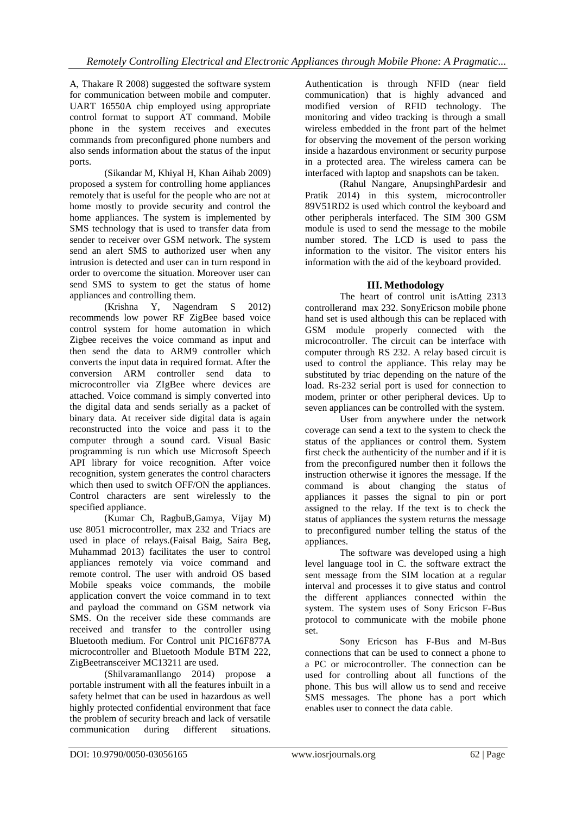A, Thakare R 2008) suggested the software system for communication between mobile and computer. UART 16550A chip employed using appropriate control format to support AT command. Mobile phone in the system receives and executes commands from preconfigured phone numbers and also sends information about the status of the input ports.

(Sikandar M, Khiyal H, Khan Aihab 2009) proposed a system for controlling home appliances remotely that is useful for the people who are not at home mostly to provide security and control the home appliances. The system is implemented by SMS technology that is used to transfer data from sender to receiver over GSM network. The system send an alert SMS to authorized user when any intrusion is detected and user can in turn respond in order to overcome the situation. Moreover user can send SMS to system to get the status of home appliances and controlling them.

(Krishna Y, Nagendram S 2012) recommends low power RF ZigBee based voice control system for home automation in which Zigbee receives the voice command as input and then send the data to ARM9 controller which converts the input data in required format. After the conversion ARM controller send data to microcontroller via ZIgBee where devices are attached. Voice command is simply converted into the digital data and sends serially as a packet of binary data. At receiver side digital data is again reconstructed into the voice and pass it to the computer through a sound card. Visual Basic programming is run which use Microsoft Speech API library for voice recognition. After voice recognition, system generates the control characters which then used to switch OFF/ON the appliances. Control characters are sent wirelessly to the specified appliance.

(Kumar Ch, RagbuB,Gamya, Vijay M) use 8051 microcontroller, max 232 and Triacs are used in place of relays.(Faisal Baig, Saira Beg, Muhammad 2013) facilitates the user to control appliances remotely via voice command and remote control. The user with android OS based Mobile speaks voice commands, the mobile application convert the voice command in to text and payload the command on GSM network via SMS. On the receiver side these commands are received and transfer to the controller using Bluetooth medium. For Control unit PIC16F877A microcontroller and Bluetooth Module BTM 222, ZigBeetransceiver MC13211 are used.

(ShilvaramanIlango 2014) propose a portable instrument with all the features inbuilt in a safety helmet that can be used in hazardous as well highly protected confidential environment that face the problem of security breach and lack of versatile communication during different situations.

Authentication is through NFID (near field communication) that is highly advanced and modified version of RFID technology. The monitoring and video tracking is through a small wireless embedded in the front part of the helmet for observing the movement of the person working inside a hazardous environment or security purpose in a protected area. The wireless camera can be interfaced with laptop and snapshots can be taken.

(Rahul Nangare, AnupsinghPardesir and Pratik 2014) in this system, microcontroller 89V51RD2 is used which control the keyboard and other peripherals interfaced. The SIM 300 GSM module is used to send the message to the mobile number stored. The LCD is used to pass the information to the visitor. The visitor enters his information with the aid of the keyboard provided.

# **III. Methodology**

The heart of control unit isAtting 2313 controllerand max 232. SonyEricson mobile phone hand set is used although this can be replaced with GSM module properly connected with the microcontroller. The circuit can be interface with computer through RS 232. A relay based circuit is used to control the appliance. This relay may be substituted by triac depending on the nature of the load. Rs-232 serial port is used for connection to modem, printer or other peripheral devices. Up to seven appliances can be controlled with the system.

User from anywhere under the network coverage can send a text to the system to check the status of the appliances or control them. System first check the authenticity of the number and if it is from the preconfigured number then it follows the instruction otherwise it ignores the message. If the command is about changing the status of appliances it passes the signal to pin or port assigned to the relay. If the text is to check the status of appliances the system returns the message to preconfigured number telling the status of the appliances.

The software was developed using a high level language tool in C. the software extract the sent message from the SIM location at a regular interval and processes it to give status and control the different appliances connected within the system. The system uses of Sony Ericson F-Bus protocol to communicate with the mobile phone set.

Sony Ericson has F-Bus and M-Bus connections that can be used to connect a phone to a PC or microcontroller. The connection can be used for controlling about all functions of the phone. This bus will allow us to send and receive SMS messages. The phone has a port which enables user to connect the data cable.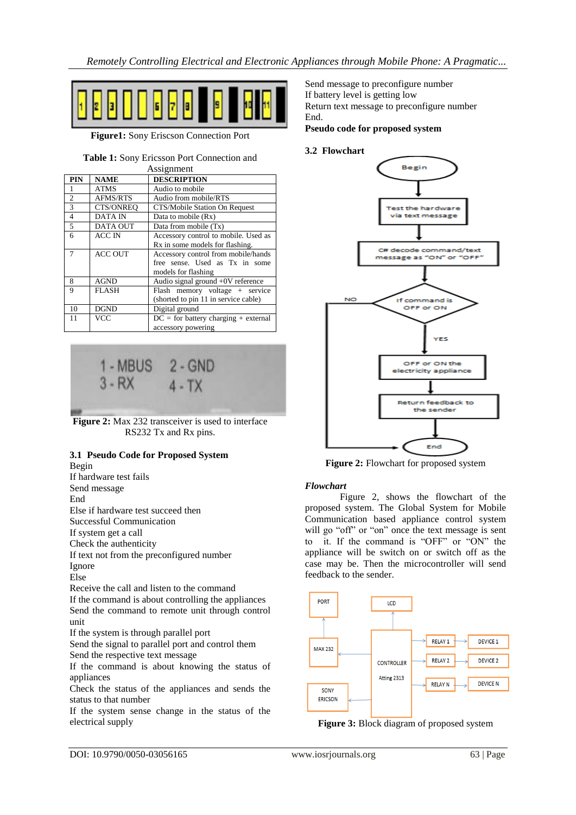

**Figure1:** Sony Eriscson Connection Port

## **Table 1:** Sony Ericsson Port Connection and

| Assignment     |                 |                                        |
|----------------|-----------------|----------------------------------------|
| <b>PIN</b>     | <b>NAME</b>     | <b>DESCRIPTION</b>                     |
| 1              | <b>ATMS</b>     | Audio to mobile                        |
| $\mathfrak{2}$ | AFMS/RTS        | Audio from mobile/RTS                  |
| 3              | CTS/ONREO       | CTS/Mobile Station On Request          |
| $\overline{4}$ | <b>DATA IN</b>  | Data to mobile (Rx)                    |
| $\overline{5}$ | <b>DATA OUT</b> | Data from mobile (Tx)                  |
| 6              | <b>ACC IN</b>   | Accessory control to mobile. Used as   |
|                |                 | Rx in some models for flashing.        |
| $\overline{7}$ | <b>ACC OUT</b>  | Accessory control from mobile/hands    |
|                |                 | free sense. Used as Tx in some         |
|                |                 | models for flashing                    |
| 8              | <b>AGND</b>     | Audio signal ground $+0V$ reference    |
| 9              | <b>FLASH</b>    | Flash memory voltage + service         |
|                |                 | (shorted to pin 11 in service cable)   |
| 10             | <b>DGND</b>     | Digital ground                         |
| 11             | <b>VCC</b>      | $DC =$ for battery charging + external |
|                |                 | accessory powering                     |



**Figure 2:** Max 232 transceiver is used to interface RS232 Tx and Rx pins.

#### **3.1 Pseudo Code for Proposed System** Begin

If hardware test fails Send message End Else if hardware test succeed then Successful Communication If system get a call Check the authenticity If text not from the preconfigured number Ignore Else Receive the call and listen to the command If the command is about controlling the appliances Send the command to remote unit through control unit If the system is through parallel port

Send the signal to parallel port and control them Send the respective text message

If the command is about knowing the status of appliances

Check the status of the appliances and sends the status to that number

If the system sense change in the status of the electrical supply

Send message to preconfigure number If battery level is getting low Return text message to preconfigure number End.

**Pseudo code for proposed system**

## **3.2 Flowchart**



**Figure 2:** Flowchart for proposed system

## *Flowchart*

Figure 2, shows the flowchart of the proposed system. The Global System for Mobile Communication based appliance control system will go "off" or "on" once the text message is sent to it. If the command is "OFF" or "ON" the appliance will be switch on or switch off as the case may be. Then the microcontroller will send feedback to the sender.



**Figure 3:** Block diagram of proposed system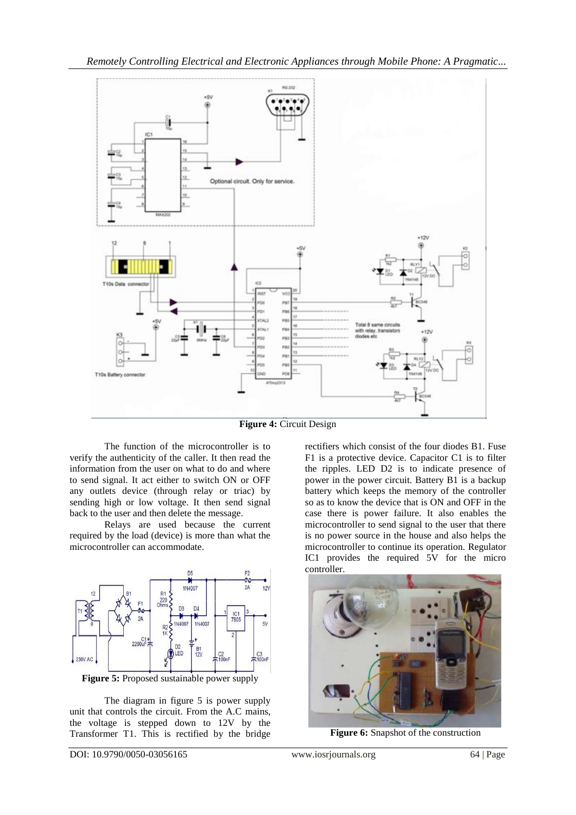

**Figure 4:** Circuit Design

The function of the microcontroller is to verify the authenticity of the caller. It then read the information from the user on what to do and where to send signal. It act either to switch ON or OFF any outlets device (through relay or triac) by sending high or low voltage. It then send signal back to the user and then delete the message.

Relays are used because the current required by the load (device) is more than what the microcontroller can accommodate.



The diagram in figure 5 is power supply unit that controls the circuit. From the A.C mains, the voltage is stepped down to 12V by the Transformer T1. This is rectified by the bridge

rectifiers which consist of the four diodes B1. Fuse F1 is a protective device. Capacitor C1 is to filter the ripples. LED D2 is to indicate presence of power in the power circuit. Battery B1 is a backup battery which keeps the memory of the controller so as to know the device that is ON and OFF in the case there is power failure. It also enables the microcontroller to send signal to the user that there is no power source in the house and also helps the microcontroller to continue its operation. Regulator IC1 provides the required 5V for the micro controller.



**Figure 6:** Snapshot of the construction